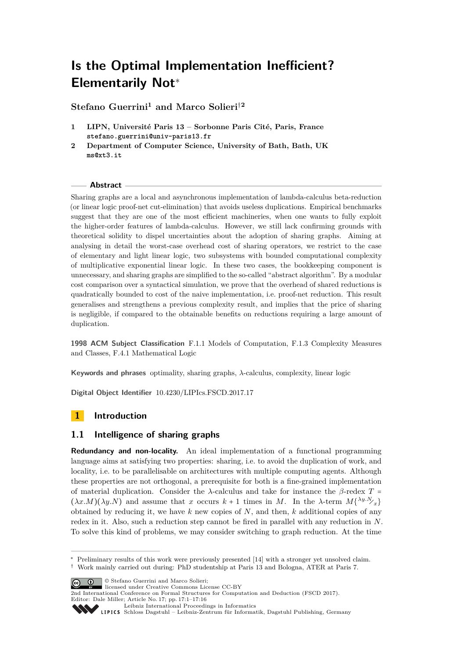# **Is the Optimal Implementation Inefficient? Elementarily Not**<sup>∗</sup>

**Stefano Guerrini<sup>1</sup> and Marco Solieri**†**<sup>2</sup>**

- **1 LIPN, Université Paris 13 Sorbonne Paris Cité, Paris, France stefano.guerrini@univ-paris13.fr**
- **2 Department of Computer Science, University of Bath, Bath, UK ms@xt3.it**

## **Abstract**

Sharing graphs are a local and asynchronous implementation of lambda-calculus beta-reduction (or linear logic proof-net cut-elimination) that avoids useless duplications. Empirical benchmarks suggest that they are one of the most efficient machineries, when one wants to fully exploit the higher-order features of lambda-calculus. However, we still lack confirming grounds with theoretical solidity to dispel uncertainties about the adoption of sharing graphs. Aiming at analysing in detail the worst-case overhead cost of sharing operators, we restrict to the case of elementary and light linear logic, two subsystems with bounded computational complexity of multiplicative exponential linear logic. In these two cases, the bookkeeping component is unnecessary, and sharing graphs are simplified to the so-called "abstract algorithm". By a modular cost comparison over a syntactical simulation, we prove that the overhead of shared reductions is quadratically bounded to cost of the naive implementation, i.e. proof-net reduction. This result generalises and strengthens a previous complexity result, and implies that the price of sharing is negligible, if compared to the obtainable benefits on reductions requiring a large amount of duplication.

**1998 ACM Subject Classification** F.1.1 Models of Computation, F.1.3 Complexity Measures and Classes, F.4.1 Mathematical Logic

**Keywords and phrases** optimality, sharing graphs, *λ*-calculus, complexity, linear logic

**Digital Object Identifier** [10.4230/LIPIcs.FSCD.2017.17](http://dx.doi.org/10.4230/LIPIcs.FSCD.2017.17)

# **1 Introduction**

## <span id="page-0-0"></span>**1.1 Intelligence of sharing graphs**

**Redundancy and non-locality.** An ideal implementation of a functional programming language aims at satisfying two properties: sharing, i.e. to avoid the duplication of work, and locality, i.e. to be parallelisable on architectures with multiple computing agents. Although these properties are not orthogonal, a prerequisite for both is a fine-grained implementation of material duplication. Consider the *<sup>λ</sup>*-calculus and take for instance the *<sup>β</sup>*-redex *<sup>T</sup>* <sup>=</sup>  $(\lambda x.M)(\lambda y.N)$  and assume that *x* occurs  $k+1$  times in *M*. In the  $\lambda$ -term  $M{\lambda y.N}$ <sub>*x*</sub> $\}$ obtained by reducing it, we have *k* new copies of *N*, and then, *k* additional copies of any redex in it. Also, such a reduction step cannot be fired in parallel with any reduction in *N*. To solve this kind of problems, we may consider switching to graph reduction. At the time

© Stefano Guerrini and Marco Solieri;

[Leibniz International Proceedings in Informatics](http://www.dagstuhl.de/lipics/)



Preliminary results of this work were previously presented [\[14\]](#page-15-0) with a stronger yet unsolved claim.

<sup>†</sup> Work mainly carried out during: PhD studentship at Paris 13 and Bologna, ATER at Paris 7.

licensed under Creative Commons License CC-BY

<sup>2</sup>nd International Conference on Formal Structures for Computation and Deduction (FSCD 2017). Editor: Dale Miller; Article No. 17; pp. 17:1–17[:16](#page-15-1)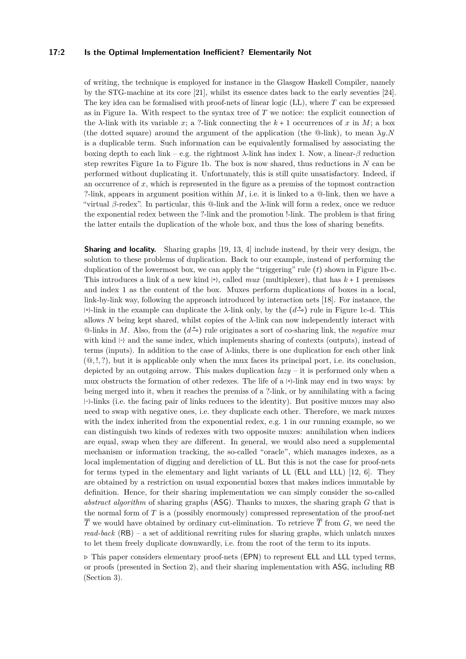## **17:2 Is the Optimal Implementation Inefficient? Elementarily Not**

of writing, the technique is employed for instance in the Glasgow Haskell Compiler, namely by the STG-machine at its core [\[21\]](#page-15-2), whilst its essence dates back to the early seventies [\[24\]](#page-15-3). The key idea can be formalised with proof-nets of linear logic (LL), where *T* can be expressed as in Figure [1a](#page-2-0). With respect to the syntax tree of *T* we notice: the explicit connection of the  $\lambda$ -link with its variable *x*; a ?-link connecting the  $k + 1$  occurrences of *x* in *M*; a box (the dotted square) around the argument of the application (the  $\Phi$ -link), to mean  $\lambda y$ .N is a duplicable term. Such information can be equivalently formalised by associating the boxing depth to each link – e.g. the rightmost *λ*-link has index 1. Now, a linear-*β* reduction step rewrites Figure [1a](#page-2-0) to Figure [1b](#page-2-0). The box is now shared, thus reductions in *N* can be performed without duplicating it. Unfortunately, this is still quite unsatisfactory. Indeed, if an occurrence of *x*, which is represented in the figure as a premiss of the topmost contraction ?-link, appears in argument position within  $M$ , i.e. it is linked to a  $@-$ link, then we have a "virtual *β*-redex". In particular, this @-link and the *λ*-link will form a redex, once we reduce the exponential redex between the ?-link and the promotion !-link. The problem is that firing the latter entails the duplication of the whole box, and thus the loss of sharing benefits.

**Sharing and locality.** Sharing graphs [\[19,](#page-15-4) [13,](#page-15-5) [4\]](#page-14-0) include instead, by their very design, the solution to these problems of duplication. Back to our example, instead of performing the duplication of the lowermost box, we can apply the "triggering" rule (*t*) shown in Figure [1b](#page-2-0)-c. This introduces a link of a new kind <sup>∣</sup>+⟩, called *mux* (multiplexer), that has *k* + 1 premisses and index 1 as the content of the box. Muxes perform duplications of boxes in a local, link-by-link way, following the approach introduced by interaction nets [\[18\]](#page-15-6). For instance, the  $|+$ )-link in the example can duplicate the  $\lambda$ -link only, by the  $(d^{\pm} \circ)$  rule in Figure [1c](#page-2-0)-d. This allows *N* being kept shared, whilst copies of the *λ*-link can now independently interact with @-links in *<sup>M</sup>*. Also, from the (*d*⊸<sup>+</sup> ) rule originates a sort of co-sharing link, the *negative mux* with kind |-⟩ and the same index, which implements sharing of contexts (outputs), instead of terms (inputs). In addition to the case of *λ*-links, there is one duplication for each other link (@*,* !*,* ?), but it is applicable only when the mux faces its principal port, i.e. its conclusion, depicted by an outgoing arrow. This makes duplication *lazy* – it is performed only when a mux obstructs the formation of other redexes. The life of a <sup>∣</sup>+⟩-link may end in two ways: by being merged into it, when it reaches the premiss of a ?-link, or by annihilating with a facing <sup>∣</sup>-⟩-links (i.e. the facing pair of links reduces to the identity). But positive muxes may also need to swap with negative ones, i.e. they duplicate each other. Therefore, we mark muxes with the index inherited from the exponential redex, e.g. 1 in our running example, so we can distinguish two kinds of redexes with two opposite muxes: annihilation when indices are equal, swap when they are different. In general, we would also need a supplemental mechanism or information tracking, the so-called "oracle", which manages indexes, as a local implementation of digging and dereliction of LL. But this is not the case for proof-nets for terms typed in the elementary and light variants of LL (ELL and LLL) [\[12,](#page-15-7) [6\]](#page-14-1). They are obtained by a restriction on usual exponential boxes that makes indices immutable by definition. Hence, for their sharing implementation we can simply consider the so-called *abstract algorithm* of sharing graphs (ASG). Thanks to muxes, the sharing graph *G* that is the normal form of *T* is a (possibly enormously) compressed representation of the proof-net  $\overline{T}$  we would have obtained by ordinary cut-elimination. To retrieve  $\overline{T}$  from *G*, we need the *read-back* (RB) – a set of additional rewriting rules for sharing graphs, which unlatch muxes to let them freely duplicate downwardly, i.e. from the root of the term to its inputs.

<sup>⊳</sup> This paper considers elementary proof-nets (EPN) to represent ELL and LLL typed terms, or proofs (presented in Section [2\)](#page-3-0), and their sharing implementation with ASG, including RB (Section [3\)](#page-6-0).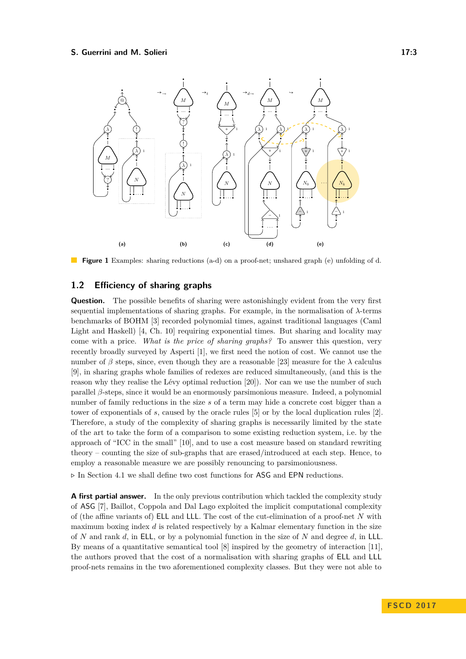<span id="page-2-0"></span>

**Figure 1** Examples: sharing reductions (a-d) on a proof-net; unshared graph (e) unfolding of d.

## **1.2 Efficiency of sharing graphs**

**Question.** The possible benefits of sharing were astonishingly evident from the very first sequential implementations of sharing graphs. For example, in the normalisation of *λ*-terms benchmarks of BOHM [\[3\]](#page-14-2) recorded polynomial times, against traditional languages (Caml Light and Haskell) [\[4,](#page-14-0) Ch. 10] requiring exponential times. But sharing and locality may come with a price. *What is the price of sharing graphs?* To answer this question, very recently broadly surveyed by Asperti [\[1\]](#page-14-3), we first need the notion of cost. We cannot use the number of  $\beta$  steps, since, even though they are a reasonable [\[23\]](#page-15-8) measure for the  $\lambda$  calculus [\[9\]](#page-14-4), in sharing graphs whole families of redexes are reduced simultaneously, (and this is the reason why they realise the Lévy optimal reduction [\[20\]](#page-15-9)). Nor can we use the number of such parallel *β*-steps, since it would be an enormously parsimonious measure. Indeed, a polynomial number of family reductions in the size *s* of a term may hide a concrete cost bigger than a tower of exponentials of *s*, caused by the oracle rules [\[5\]](#page-14-5) or by the local duplication rules [\[2\]](#page-14-6). Therefore, a study of the complexity of sharing graphs is necessarily limited by the state of the art to take the form of a comparison to some existing reduction system, i.e. by the approach of "ICC in the small" [\[10\]](#page-14-7), and to use a cost measure based on standard rewriting theory – counting the size of sub-graphs that are erased/introduced at each step. Hence, to employ a reasonable measure we are possibly renouncing to parsimoniousness.

<sup>⊳</sup> In Section [4.1](#page-8-0) we shall define two cost functions for ASG and EPN reductions.

**A first partial answer.** In the only previous contribution which tackled the complexity study of ASG [\[7\]](#page-14-8), Baillot, Coppola and Dal Lago exploited the implicit computational complexity of (the affine variants of) ELL and LLL. The cost of the cut-elimination of a proof-net *N* with maximum boxing index *d* is related respectively by a Kalmar elementary function in the size of *N* and rank *d*, in ELL, or by a polynomial function in the size of *N* and degree *d*, in LLL. By means of a quantitative semantical tool [\[8\]](#page-14-9) inspired by the geometry of interaction [\[11\]](#page-14-10), the authors proved that the cost of a normalisation with sharing graphs of ELL and LLL proof-nets remains in the two aforementioned complexity classes. But they were not able to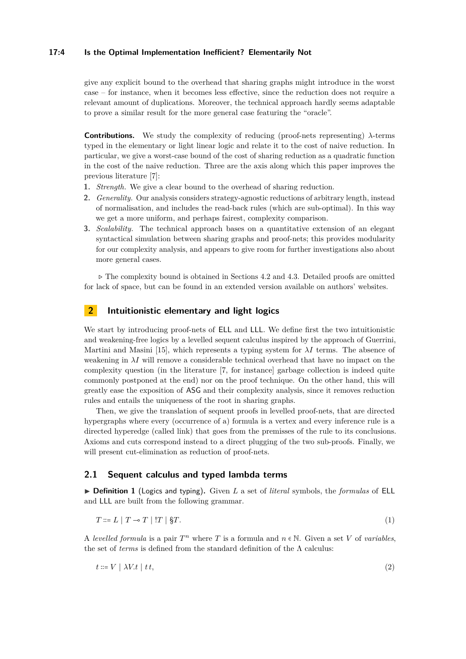### **17:4 Is the Optimal Implementation Inefficient? Elementarily Not**

give any explicit bound to the overhead that sharing graphs might introduce in the worst case – for instance, when it becomes less effective, since the reduction does not require a relevant amount of duplications. Moreover, the technical approach hardly seems adaptable to prove a similar result for the more general case featuring the "oracle".

**Contributions.** We study the complexity of reducing (proof-nets representing)  $\lambda$ -terms typed in the elementary or light linear logic and relate it to the cost of naive reduction. In particular, we give a worst-case bound of the cost of sharing reduction as a quadratic function in the cost of the naive reduction. Three are the axis along which this paper improves the previous literature [\[7\]](#page-14-8):

- **1.** *Strength.* We give a clear bound to the overhead of sharing reduction.
- **2.** *Generality.* Our analysis considers strategy-agnostic reductions of arbitrary length, instead of normalisation, and includes the read-back rules (which are sub-optimal). In this way we get a more uniform, and perhaps fairest, complexity comparison.
- **3.** *Scalability.* The technical approach bases on a quantitative extension of an elegant syntactical simulation between sharing graphs and proof-nets; this provides modularity for our complexity analysis, and appears to give room for further investigations also about more general cases.

<sup>⊳</sup> The complexity bound is obtained in Sections [4.2](#page-8-1) and [4.3.](#page-10-0) Detailed proofs are omitted for lack of space, but can be found in an extended version available on authors' websites.

# <span id="page-3-0"></span>**2 Intuitionistic elementary and light logics**

We start by introducing proof-nets of ELL and LLL. We define first the two intuitionistic and weakening-free logics by a levelled sequent calculus inspired by the approach of Guerrini, Martini and Masini [\[15\]](#page-15-10), which represents a typing system for *λI* terms. The absence of weakening in  $\lambda I$  will remove a considerable technical overhead that have no impact on the complexity question (in the literature [\[7,](#page-14-8) for instance] garbage collection is indeed quite commonly postponed at the end) nor on the proof technique. On the other hand, this will greatly ease the exposition of ASG and their complexity analysis, since it removes reduction rules and entails the uniqueness of the root in sharing graphs.

Then, we give the translation of sequent proofs in levelled proof-nets, that are directed hypergraphs where every (occurrence of a) formula is a vertex and every inference rule is a directed hyperedge (called link) that goes from the premisses of the rule to its conclusions. Axioms and cuts correspond instead to a direct plugging of the two sub-proofs. Finally, we will present cut-elimination as reduction of proof-nets.

# **2.1 Sequent calculus and typed lambda terms**

▶ **Definition 1** (Logics and typing). Given *L* a set of *literal* symbols, the *formulas* of ELL and LLL are built from the following grammar.

$$
T ::= L | T \neg T | !T | \$T.
$$
\n<sup>(1)</sup>

A *levelled formula* is a pair  $T^n$  where  $T$  is a formula and  $n \in \mathbb{N}$ . Given a set  $V$  of *variables*, the set of *terms* is defined from the standard definition of the  $\Lambda$  calculus:

$$
t ::= V \mid \lambda V \cdot t \mid t \cdot t,\tag{2}
$$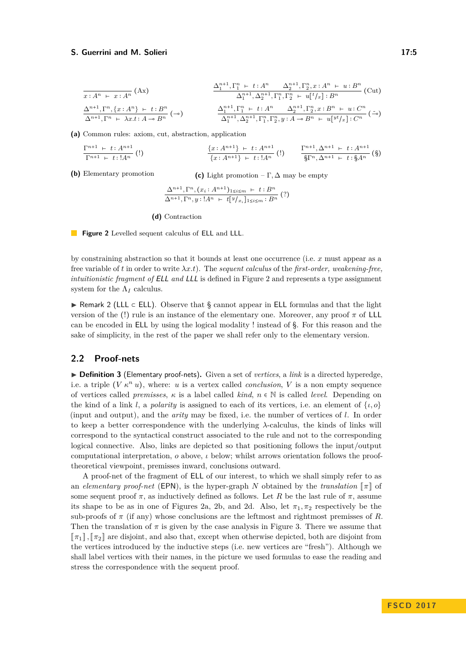<span id="page-4-0"></span>
$$
\frac{\Delta_1^{n+1}, \Gamma_1^n + t : A^n \quad \Delta_2^{n+1}, \Gamma_2^n, x : A^n \vdash u : B^n}{\Delta_1^{n+1}, \Delta_2^{n+1}, \Gamma_1^n, \Gamma_2^n \vdash u[t/x] : B^n} \text{(Cut)}
$$
\n
$$
\frac{\Delta^{n+1}, \Gamma^n, \{x : A^n\} \vdash t : B^n}{\Delta^{n+1}, \Gamma^n \vdash \lambda x. t : A \to B^n} \text{ (-a)}
$$
\n
$$
\frac{\Delta_1^{n+1}, \Gamma_1^n \vdash t : A^n \quad \Delta_2^{n+1}, \Gamma_2^n, x : B^n \vdash u : C^n}{\Delta_1^{n+1}, \Delta_2^{n+1}, \Gamma_1^n, \Gamma_2^n, y : A \to B^n \vdash u[vt/x] : C^n} \text{ (-b)}
$$

**(a)** Common rules: axiom, cut, abstraction, application

$$
\frac{\Gamma^{n+1} + t : A^{n+1}}{\Gamma^{n+1} + t : A^n} (!) \qquad \frac{\{x : A^{n+1}\} + t : A^{n+1}}{\{x : A^{n+1}\} + t : A^n} (!) \qquad \frac{\Gamma^{n+1}, \Delta^{n+1} + t : A^{n+1}}{\S \Gamma^n, \Delta^{n+1} + t : \S A^n} (S)
$$

**(b)** Elementary promotion

**(c)** Light promotion –  $\Gamma$ ,  $\Delta$  may be empty

$$
\frac{\Delta^{n+1}, \Gamma^n, (x_i : A^{n+1})_{1 \le i \le m} + t : B^n}{\Delta^{n+1}, \Gamma^n, y : A^n + t [y|_{x_i}]_{1 \le i \le m} : B^n} (?)
$$

**(d)** Contraction

**Figure 2** Levelled sequent calculus of **ELL** and **LLL**.

by constraining abstraction so that it bounds at least one occurrence (i.e. *x* must appear as a free variable of *t* in order to write *λx.t*). The *sequent calculus* of the *first-order, weakening-free, intuitionistic fragment of* ELL *and* LLL is defined in Figure [2](#page-4-0) and represents a type assignment system for the  $\Lambda_I$  calculus.

<sup>I</sup> Remark 2 (LLL <sup>⊂</sup> ELL). Observe that § cannot appear in ELL formulas and that the light version of the (!) rule is an instance of the elementary one. Moreover, any proof *π* of LLL can be encoded in ELL by using the logical modality ! instead of §. For this reason and the sake of simplicity, in the rest of the paper we shall refer only to the elementary version.

# **2.2 Proof-nets**

<span id="page-4-1"></span>▶ **Definition 3** (Elementary proof-nets). Given a set of *vertices*, a *link* is a directed hyperedge, i.e. a triple  $(V \kappa^n u)$ , where: *u* is a vertex called *conclusion*, *V* is a non empty sequence of vertices called *premisses*,  $\kappa$  is a label called *kind*,  $n \in \mathbb{N}$  is called *level*. Depending on the kind of a link *l*, a *polarity* is assigned to each of its vertices, i.e. an element of  $\{\iota, o\}$ (input and output), and the *arity* may be fixed, i.e. the number of vertices of *l*. In order to keep a better correspondence with the underlying *λ*-calculus, the kinds of links will correspond to the syntactical construct associated to the rule and not to the corresponding logical connective. Also, links are depicted so that positioning follows the input/output computational interpretation, *o* above, *ι* below; whilst arrows orientation follows the prooftheoretical viewpoint, premisses inward, conclusions outward.

A proof-net of the fragment of ELL of our interest, to which we shall simply refer to as an *elementary proof-net* (EPN), is the hyper-graph *N* obtained by the *translation*  $\llbracket \pi \rrbracket$  of some sequent proof  $\pi$ , as inductively defined as follows. Let R be the last rule of  $\pi$ , assume its shape to be as in one of Figures [2a, 2b,](#page-4-0) and [2d.](#page-4-0) Also, let  $\pi_1, \pi_2$  respectively be the sub-proofs of  $\pi$  (if any) whose conclusions are the leftmost and rightmost premisses of *R*. Then the translation of  $\pi$  is given by the case analysis in Figure [3.](#page-5-0) There we assume that  $\llbracket \pi_1 \rrbracket$ ,  $\llbracket \pi_2 \rrbracket$  are disjoint, and also that, except when otherwise depicted, both are disjoint from the vertices introduced by the inductive steps (i.e. new vertices are "fresh"). Although we shall label vertices with their names, in the picture we used formulas to ease the reading and stress the correspondence with the sequent proof.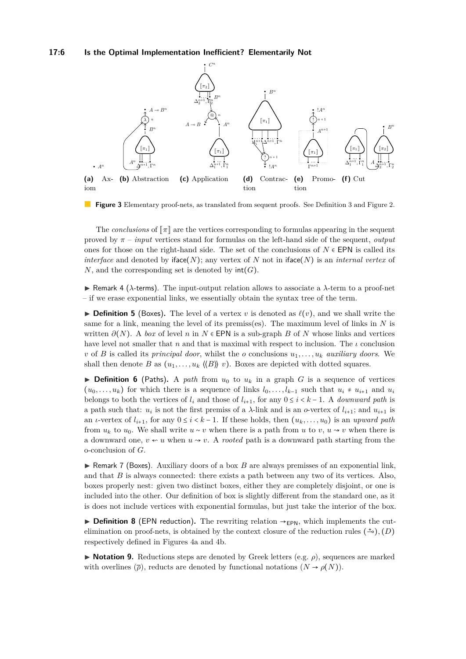#### **17:6 Is the Optimal Implementation Inefficient? Elementarily Not**

<span id="page-5-0"></span>

**Figure 3** Elementary proof-nets, as translated from sequent proofs. See Definition [3](#page-4-1) and Figure [2.](#page-4-0)

The *conclusions* of *<del></del>* $\pi$  are the vertices corresponding to formulas appearing in the sequent proved by *π* – *input* vertices stand for formulas on the left-hand side of the sequent, *output* ones for those on the right-hand side. The set of the conclusions of  $N \in \text{EPN}$  is called its *interface* and denoted by iface(*N*); any vertex of *N* not in iface(*N*) is an *internal vertex* of *N*, and the corresponding set is denoted by  $int(G)$ .

I Remark 4 (*λ*-terms). The input-output relation allows to associate a *λ*-term to a proof-net – if we erase exponential links, we essentially obtain the syntax tree of the term.

 $\triangleright$  **Definition 5** (Boxes). The level of a vertex *v* is denoted as  $\ell(v)$ , and we shall write the same for a link, meaning the level of its premiss(es). The maximum level of links in *N* is written  $\partial(N)$ . A *box* of level *n* in  $N \in$  EPN is a sub-graph *B* of *N* whose links and vertices have level not smaller that *n* and that is maximal with respect to inclusion. The *ι* conclusion *v* of *B* is called its *principal door*, whilst the *o* conclusions  $u_1, \ldots, u_k$  *auxiliary doors*. We shall then denote *B* as  $(u_1, \ldots, u_k \langle \langle B \rangle \rangle v)$ . Boxes are depicted with dotted squares.

**Definition 6** (Paths). A *path* from  $u_0$  to  $u_k$  in a graph *G* is a sequence of vertices  $(u_0, \ldots, u_k)$  for which there is a sequence of links  $l_0, \ldots, l_{k-1}$  such that  $u_i \neq u_{i+1}$  and  $u_i$ belongs to both the vertices of  $l_i$  and those of  $l_{i+1}$ , for any  $0 \leq i \leq k-1$ . A *downward path* is a path such that:  $u_i$  is not the first premiss of a  $\lambda$ -link and is an *o*-vertex of  $l_{i+1}$ ; and  $u_{i+1}$  is an *ι*-vertex of  $l_{i+1}$ , for any  $0 \leq i \leq k-1$ . If these holds, then  $(u_k, \ldots, u_0)$  is an *upward path* from  $u_k$  to  $u_0$ . We shall write  $u \sim v$  when there is a path from *u* to *v*,  $u \sim v$  when there is a downward one,  $v \nless u$  when  $u \nless v$ . A *rooted* path is a downward path starting from the o-conclusion of *G*.

► Remark 7 (Boxes). Auxiliary doors of a box *B* are always premisses of an exponential link, and that *B* is always connected: there exists a path between any two of its vertices. Also, boxes properly nest: given two distinct boxes, either they are completely disjoint, or one is included into the other. Our definition of box is slightly different from the standard one, as it is does not include vertices with exponential formulas, but just take the interior of the box.

**► Definition 8** (EPN reduction). The rewriting relation  $\rightarrow$ <sub>EPN</sub>, which implements the cutelimination on proof-nets, is obtained by the context closure of the reduction rules  $($ <sup> $\pm$ </sup>o $)$ ,  $(D)$ respectively defined in Figures [4a](#page-6-1) and [4b.](#page-6-1)

**► Notation 9.** Reductions steps are denoted by Greek letters (e.g. *ρ*), sequences are marked with overlines  $(\overline{\rho})$ , reducts are denoted by functional notations  $(N \rightarrow \rho(N))$ .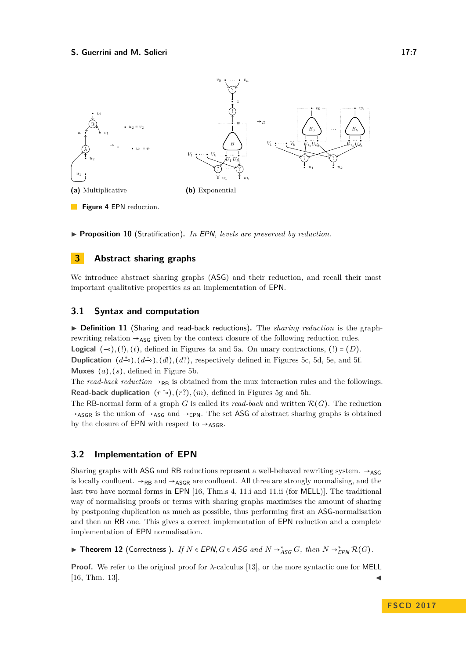<span id="page-6-1"></span>

▶ **Proposition 10** (Stratification). *In EPN, levels are preserved by reduction.* 

# <span id="page-6-0"></span>**3 Abstract sharing graphs**

We introduce abstract sharing graphs (ASG) and their reduction, and recall their most important qualitative properties as an implementation of EPN.

## **3.1 Syntax and computation**

I **Definition 11** (Sharing and read-back reductions)**.** The *sharing reduction* is the graphrewriting relation  $\rightarrow_{\text{ASG}}$  given by the context closure of the following reduction rules. **Logical**  $(¬)$ *,*  $(!)$ *,*  $(t)$ *,* defined in Figures [4a](#page-6-1) and [5a.](#page-7-0) On unary contractions,  $(!) = (D)$ *.* **Duplication**  $(d^{\pm o})$ ,  $(d^{\infty o})$ ,  $(d!)$ ,  $(d?)$ , respectively defined in Figures [5c, 5d, 5e,](#page-7-0) and [5f.](#page-7-0) **Muxes** (*a*)*,* (*s*), defined in Figure [5b.](#page-7-0)

The *read-back reduction*  $\rightarrow$ <sub>RB</sub> is obtained from the mux interaction rules and the followings. **Read-back duplication**  $(r\stackrel{\star}{\rightarrow}),(r?),(m)$ , defined in Figures [5g](#page-7-0) and [5h.](#page-7-0)

The RB-normal form of a graph *G* is called its *read-back* and written  $\mathcal{R}(G)$ . The reduction  $\rightarrow$ ASGR is the union of  $\rightarrow$ ASG and  $\rightarrow$ EPN. The set ASG of abstract sharing graphs is obtained by the closure of EPN with respect to  $\rightarrow$ ASGR.

# **3.2 Implementation of EPN**

Sharing graphs with ASG and RB reductions represent a well-behaved rewriting system.  $\rightarrow$ ASG is locally confluent.  $\rightarrow$ <sub>RB</sub> and  $\rightarrow$ <sub>ASGR</sub> are confluent. All three are strongly normalising, and the last two have normal forms in EPN [\[16,](#page-15-11) Thm.s 4, 11.i and 11.ii (for MELL)]. The traditional way of normalising proofs or terms with sharing graphs maximises the amount of sharing by postponing duplication as much as possible, thus performing first an ASG-normalisation and then an RB one. This gives a correct implementation of EPN reduction and a complete implementation of EPN normalisation.

▶ **Theorem 12** (Correctness ). *If*  $N \in EPN$ ,  $G \in ASG$  *and*  $N \rightarrow_{ASG}^* G$ , *then*  $N \rightarrow_{EPN}^* R(G)$ .

**Proof.** We refer to the original proof for  $\lambda$ -calculus [\[13\]](#page-15-5), or the more syntactic one for MELL  $[16, Thm. 13]$  $[16, Thm. 13]$ .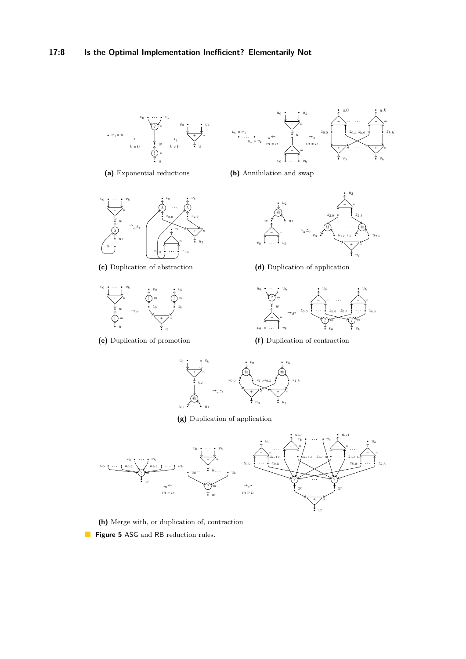<span id="page-7-0"></span>

**(a)** Exponential reductions



**(c)** Duplication of abstraction



**(e)** Duplication of promotion



**(b)** Annihilation and swap



**(d)** Duplication of application



**(f)** Duplication of contraction



**(g)** Duplication of application



**(h)** Merge with, or duplication of, contraction **Figure 5** ASG and RB reduction rules.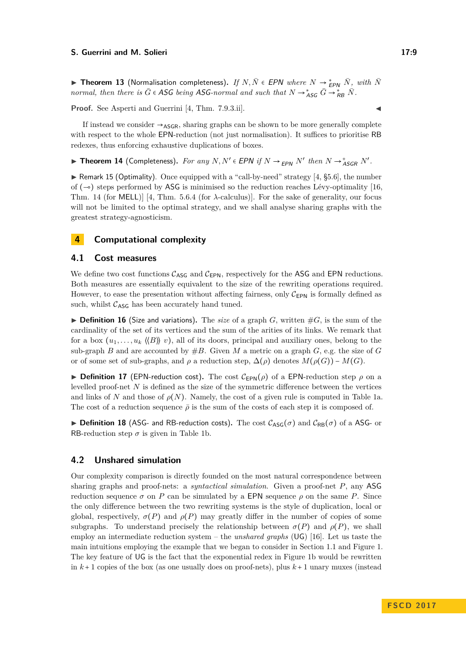**► Theorem 13** (Normalisation completeness). *If*  $N, \overline{N} \in EPN$  *where*  $N \to \frac{*}{\epsilon} P_N$   $\overline{N}$ , with  $\overline{N}$ *normal, then there is*  $\overline{G} \in \mathsf{ASG}$  *being* ASG-normal and such that  $N \to \stackrel{*}{\mathsf{ASG}} \overline{G} \to \stackrel{*}{\mathsf{RB}} \overline{N}$ .

**Proof.** See Asperti and Guerrini [\[4,](#page-14-0) Thm. 7.9.3.ii].

If instead we consider  $\rightarrow$ ASGR, sharing graphs can be shown to be more generally complete with respect to the whole EPN-reduction (not just normalisation). It suffices to prioritise RB redexes, thus enforcing exhaustive duplications of boxes.

▶ **Theorem 14** (Completeness). For any  $N, N' \in$  EPN if  $N \rightarrow_{EPN} N'$  then  $N \rightarrow_{ASGR} N'$ .

 $\triangleright$  Remark 15 (Optimality). Once equipped with a "call-by-need" strategy [\[4,](#page-14-0) §5.6], the number of  $(¬)$  steps performed by ASG is minimised so the reduction reaches Lévy-optimality [\[16,](#page-15-11) Thm. 14 (for MELL)] [\[4,](#page-14-0) Thm. 5.6.4 (for *λ*-calculus)]. For the sake of generality, our focus will not be limited to the optimal strategy, and we shall analyse sharing graphs with the greatest strategy-agnosticism.

# **4 Computational complexity**

## <span id="page-8-0"></span>**4.1 Cost measures**

We define two cost functions  $C_{\text{ASG}}$  and  $C_{\text{EPN}}$ , respectively for the ASG and EPN reductions. Both measures are essentially equivalent to the size of the rewriting operations required. However, to ease the presentation without affecting fairness, only  $C_{EPN}$  is formally defined as such, whilst  $C_{\text{ASG}}$  has been accurately hand tuned.

<span id="page-8-2"></span> $\triangleright$  **Definition 16** (Size and variations). The *size* of a graph *G*, written  $\#G$ , is the sum of the cardinality of the set of its vertices and the sum of the arities of its links. We remark that for a box  $(u_1, \ldots, u_k \langle B \rangle \rangle v)$ , all of its doors, principal and auxiliary ones, belong to the sub-graph *B* and are accounted by  $#B$ . Given *M* a metric on a graph *G*, e.g. the size of *G* or of some set of sub-graphs, and  $\rho$  a reduction step,  $\Delta(\rho)$  denotes  $M(\rho(G)) - M(G)$ .

**Definition 17** (EPN-reduction cost). The cost  $C_{\text{EPN}}(\rho)$  of a EPN-reduction step  $\rho$  on a levelled proof-net *N* is defined as the size of the symmetric difference between the vertices and links of *N* and those of  $\rho(N)$ . Namely, the cost of a given rule is computed in Table [1a.](#page-9-0) The cost of a reduction sequence  $\bar{\rho}$  is the sum of the costs of each step it is composed of.

**Definition 18** (ASG- and RB-reduction costs). The cost  $C_{\text{ASG}}(\sigma)$  and  $C_{\text{RB}}(\sigma)$  of a ASG- or RB-reduction step  $\sigma$  is given in Table [1b.](#page-9-0)

# <span id="page-8-1"></span>**4.2 Unshared simulation**

Our complexity comparison is directly founded on the most natural correspondence between sharing graphs and proof-nets: a *syntactical simulation*. Given a proof-net *P*, any ASG reduction sequence  $\sigma$  on *P* can be simulated by a EPN sequence  $\rho$  on the same *P*. Since the only difference between the two rewriting systems is the style of duplication, local or global, respectively,  $\sigma(P)$  and  $\rho(P)$  may greatly differ in the number of copies of some subgraphs. To understand precisely the relationship between  $\sigma(P)$  and  $\rho(P)$ , we shall employ an intermediate reduction system – the *unshared graphs* (UG) [\[16\]](#page-15-11). Let us taste the main intuitions employing the example that we began to consider in Section [1.1](#page-0-0) and Figure [1.](#page-2-0) The key feature of UG is the fact that the exponential redex in Figure [1b](#page-2-0) would be rewritten in  $k+1$  copies of the box (as one usually does on proof-nets), plus  $k+1$  unary muxes (instead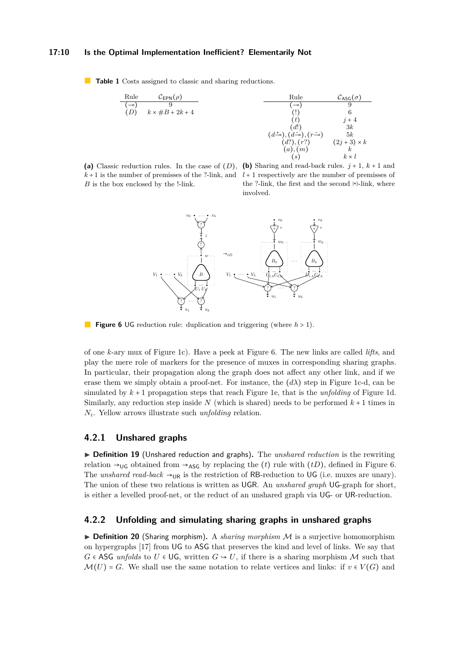#### **17:10 Is the Optimal Implementation Inefficient? Elementarily Not**

<span id="page-9-0"></span>**Table 1** Costs assigned to classic and sharing reductions.



<span id="page-9-1"></span>**(a)** Classic reduction rules. In the case of (*D*), *B* is the box enclosed by the !-link.





**Figure 6** UG reduction rule: duplication and triggering (where *h* > 1).

of one *k*-ary mux of Figure [1c](#page-2-0)). Have a peek at Figure [6.](#page-9-1) The new links are called *lifts*, and play the mere role of markers for the presence of muxes in corresponding sharing graphs. In particular, their propagation along the graph does not affect any other link, and if we erase them we simply obtain a proof-net. For instance, the  $(d\lambda)$  step in Figure [1c](#page-2-0)-d, can be simulated by  $k+1$  propagation steps that reach Figure [1e](#page-2-0), that is the *unfolding* of Figure [1d](#page-2-0). Similarly, any reduction step inside  $N$  (which is shared) needs to be performed  $k+1$  times in *N<sup>i</sup>* . Yellow arrows illustrate such *unfolding* relation.

### **4.2.1 Unshared graphs**

▶ Definition 19 (Unshared reduction and graphs). The *unshared reduction* is the rewriting relation  $\rightarrow$ <sub>UG</sub> obtained from  $\rightarrow$ <sub>ASG</sub> by replacing the (*t*) rule with (*tD*), defined in Figure [6.](#page-9-1) The *unshared read-back*  $\rightarrow$ <sub>UR</sub> is the restriction of RB-reduction to UG (i.e. muxes are unary). The union of these two relations is written as UGR. An *unshared graph* UG-graph for short, is either a levelled proof-net, or the reduct of an unshared graph via UG- or UR-reduction.

# **4.2.2 Unfolding and simulating sharing graphs in unshared graphs**

 $\triangleright$  **Definition 20** (Sharing morphism). A *sharing morphism*  $\mathcal M$  is a surjective homomorphism on hypergraphs [\[17\]](#page-15-12) from UG to ASG that preserves the kind and level of links. We say that *G* ∈ ASG *unfolds* to *U* ∈ UG, written  $G \rightarrow U$ , if there is a sharing morphism M such that  $\mathcal{M}(U) = G$ . We shall use the same notation to relate vertices and links: if  $v \in V(G)$  and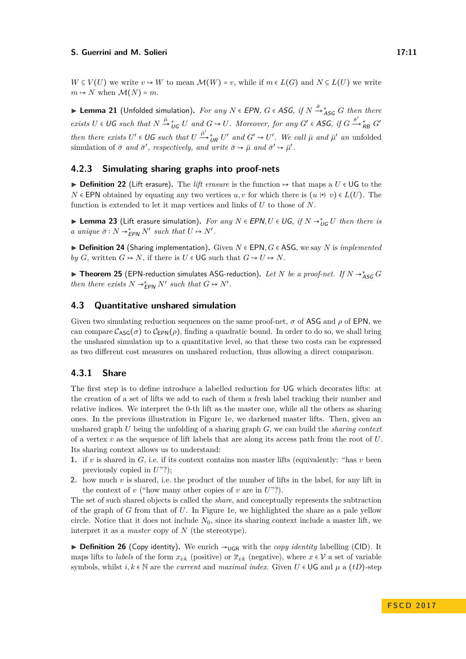*W* ⊆ *V*(*U*) we write *v* → *W* to mean  $\mathcal{M}(W) = v$ , while if  $m \in L(G)$  and  $N \subseteq L(U)$  we write  $m \leftrightarrow N$  when  $\mathcal{M}(N) = m$ .

**EPN**,  $G \in ASG$ , if  $N \stackrel{\bar{\sigma}}{\rightarrow} \frac{*}{^{4}}$  as *G* then there there is  $\frac{\bar{\sigma}}{^{4}}$  as  $G$  *f* then there  $exists U \in \mathsf{UG} \text{ such that } N \stackrel{\bar{\mu}}{\rightarrow} {}_{\mathsf{UG}}^* U \text{ and } G \hookrightarrow U. \text{ Moreover, for any } G' \in \mathsf{ASG}, \text{ if } G \stackrel{\bar{\sigma}'}{\rightarrow} {}_{\mathsf{RB}}^* G'$ *then there exists*  $U' \in \mathsf{UG}$  *such that*  $U \xrightarrow{\bar{\mu}'} \iota_R U'$  *and*  $G' \hookrightarrow U'$ . We call  $\bar{\mu}$  *and*  $\bar{\mu}'$  *an* unfolded simulation of  $\bar{\sigma}$  *and*  $\bar{\sigma}'$ , *respectively, and write*  $\bar{\sigma} \to \bar{\mu}$  *and*  $\bar{\sigma}' \to \bar{\mu}'$ *.* 

## **4.2.3 Simulating sharing graphs into proof-nets**

<sup>I</sup> **Definition 22** (Lift erasure)**.** The *lift erasure* is the function <sup>↦</sup> that maps a *<sup>U</sup>* <sup>∈</sup> UG to the *N* ∈ EPN obtained by equating any two vertices *u, v* for which there is  $(u \nleftrightarrow v) \in L(U)$ . The function is extended to let it map vertices and links of *U* to those of *N*.

**► Lemma 23** (Lift erasure simulation). *For any*  $N \in EPN, U \in UG$ , if  $N \rightarrow_{UG}^* U$  then there is *a* unique  $\bar{\sigma}: N \to_{\mathsf{EPN}}^* N'$  such that  $U \mapsto N'.$ 

<sup>I</sup> **Definition 24** (Sharing implementation)**.** Given *<sup>N</sup>* <sup>∈</sup> EPN*, G* <sup>∈</sup> ASG, we say *<sup>N</sup>* is *implemented by G*, written  $G \rightarrow N$ , if there is  $U \in \mathsf{UG}$  such that  $G \rightarrow U \rightarrow N$ .

<sup>I</sup> **Theorem 25** (EPN-reduction simulates ASG-reduction)**.** *Let <sup>N</sup> be a proof-net. If <sup>N</sup>* <sup>→</sup><sup>∗</sup> ASG *G then there exists*  $N \rightarrow_{EPN}^* N'$  *such that*  $G \rightarrow N'$ *.* 

# <span id="page-10-0"></span>**4.3 Quantitative unshared simulation**

Given two simulating reduction sequences on the same proof-net, *σ* of ASG and *ρ* of EPN, we can compare  $\mathcal{C}_{\text{ASG}}(\sigma)$  to  $\mathcal{C}_{\text{EPN}}(\rho)$ , finding a quadratic bound. In order to do so, we shall bring the unshared simulation up to a quantitative level, so that these two costs can be expressed as two different cost measures on unshared reduction, thus allowing a direct comparison.

# **4.3.1 Share**

The first step is to define introduce a labelled reduction for UG which decorates lifts: at the creation of a set of lifts we add to each of them a fresh label tracking their number and relative indices. We interpret the 0-th lift as the master one, while all the others as sharing ones. In the previous illustration in Figure [1e](#page-2-0), we darkened master lifts. Then, given an unshared graph *U* being the unfolding of a sharing graph *G*, we can build the *sharing context* of a vertex *v* as the sequence of lift labels that are along its access path from the root of *U*. Its sharing context allows us to understand:

- **1.** if *v* is shared in *G*, i.e. if its context contains non master lifts (equivalently: "has *v* been previously copied in *U*"?);
- **2.** how much *v* is shared, i.e. the product of the number of lifts in the label, for any lift in the context of  $v$  ("how many other copies of  $v$  are in  $U$ "?).

The set of such shared objects is called the *share*, and conceptually represents the subtraction of the graph of *G* from that of *U*. In Figure [1e](#page-2-0), we highlighted the share as a pale yellow circle. Notice that it does not include  $N_0$ , since its sharing context include a master lift, we interpret it as a *master* copy of *N* (the stereotype).

**Definition 26** (Copy identity). We enrich  $\rightarrow$ <sub>UGR</sub> with the *copy identity* labelling (CID). It maps lifts to *labels* of the form  $x_{i:k}$  (positive) or  $\overline{x}_{i:k}$  (negative), where  $x \in V$  a set of variable symbols, whilst  $i, k \in \mathbb{N}$  are the *current* and *maximal index*. Given  $U \in \mathsf{UG}$  and  $\mu$  a (*tD*)-step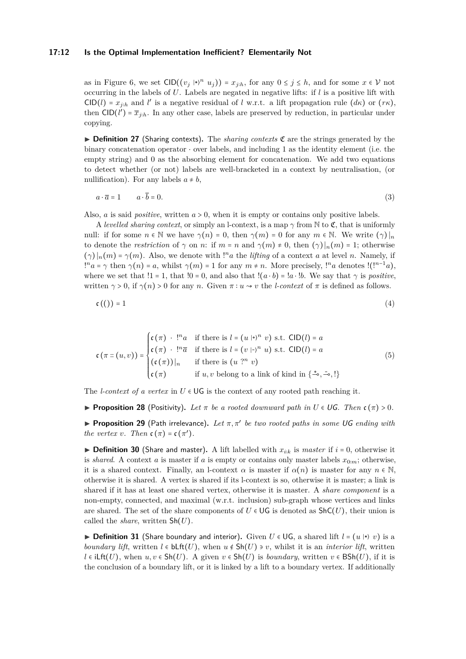#### **17:12 Is the Optimal Implementation Inefficient? Elementarily Not**

as in Figure [6,](#page-9-1) we set  $\text{CID}((v_j \mid \cdot)^n u_j) = x_{j:h}$ , for any  $0 \le j \le h$ , and for some  $x \in V$  not occurring in the labels of *U*. Labels are negated in negative lifts: if *l* is a positive lift with CID(*l*) =  $x_{j:h}$  and *l*<sup>*'*</sup> is a negative residual of *l* w.r.t. a lift propagation rule  $(d\kappa)$  or  $(r\kappa)$ , then  $CID(l') = \overline{x}_{j:h}$ . In any other case, labels are preserved by reduction, in particular under copying.

 $\triangleright$  **Definition 27** (Sharing contexts). The *sharing contexts*  $\mathfrak{C}$  are the strings generated by the binary concatenation operator ⋅ over labels, and including 1 as the identity element (i.e. the empty string) and 0 as the absorbing element for concatenation. We add two equations to detect whether (or not) labels are well-bracketed in a context by neutralisation, (or nullification). For any labels  $a \neq b$ ,

$$
a \cdot \overline{a} = 1 \qquad a \cdot \overline{b} = 0. \tag{3}
$$

Also, *<sup>a</sup>* is said *positive*, written *<sup>a</sup>* <sup>&</sup>gt; 0, when it is empty or contains only positive labels.

A *levelled sharing context*, or simply an l-context, is a map  $\gamma$  from N to  $\mathfrak{C}$ , that is uniformly null: if for some  $n \in \mathbb{N}$  we have  $\gamma(n) = 0$ , then  $\gamma(m) = 0$  for any  $m \in \mathbb{N}$ . We write  $(\gamma)|_n$ to denote the *restriction* of  $\gamma$  on *n*: if  $m = n$  and  $\gamma(m) \neq 0$ , then  $(\gamma)|_n(m) = 1$ ; otherwise  $(\gamma) |_{n}(m) = \gamma(m)$ . Also, we denote with !<sup>*n*</sup>*a* the *lifting* of a context *a* at level *n*. Namely, if  $l^n a = \gamma$  then  $\gamma(n) = a$ , whilst  $\gamma(m) = 1$  for any  $m \neq n$ . More precisely,  $l^n a$  denotes  $l(l^{n-1}a)$ , where we set that  $!1 = 1$ , that  $!0 = 0$ , and also that  $!(a \cdot b) = !a \cdot !b$ . We say that  $\gamma$  is *positive*, written  $\gamma > 0$ , if  $\gamma(n) > 0$  for any *n*. Given  $\pi : u \to v$  the *l-context* of  $\pi$  is defined as follows.

$$
c\left(\left(\right)\right)=1\tag{4}
$$

$$
\mathfrak{c}(\pi::(u,v)) = \begin{cases} \mathfrak{c}(\pi) \cdot \cdot \cdot !^{n} a & \text{if there is } l = (u \mid \star)^{n} v \text{ s.t. } \mathsf{CID}(l) = a \\ \mathfrak{c}(\pi) \cdot \cdot \cdot !^{n} \overline{a} & \text{if there is } l = (v \mid \star)^{n} u \text{ s.t. } \mathsf{CID}(l) = a \\ (\mathfrak{c}(\pi)) \mid_{n} & \text{if there is } (u \mid ?^{n} v) \\ \mathfrak{c}(\pi) & \text{if } u, v \text{ belong to a link of kind in } \{\stackrel{\star}{\neg} \circ, \stackrel{\tau}{\neg} \circ, !\} \end{cases} \tag{5}
$$

The *l-context of a vertex* in  $U \in \bigcup G$  is the context of any rooted path reaching it.

**Proposition 28** (Positivity). Let  $\pi$  be a rooted downward path in  $U \in \mathsf{UG}$ . Then  $\mathfrak{c}(\pi) > 0$ .

I **Proposition 29** (Path irrelevance)**.** *Let π, π*′ *be two rooted paths in some* UG *ending with the vertex v. Then*  $c(\pi) = c(\pi')$ *.* 

▶ **Definition 30** (Share and master). A lift labelled with  $x_{ik}$  is *master* if  $i = 0$ , otherwise it is *shared*. A context *a* is master if *a* is empty or contains only master labels  $x_{0:m}$ ; otherwise, it is a shared context. Finally, an l-context  $\alpha$  is master if  $\alpha(n)$  is master for any  $n \in \mathbb{N}$ , otherwise it is shared. A vertex is shared if its l-context is so, otherwise it is master; a link is shared if it has at least one shared vertex, otherwise it is master. A *share component* is a non-empty, connected, and maximal (w.r.t. inclusion) sub-graph whose vertices and links are shared. The set of the share components of  $U \in \bigcup G$  is denoted as  $\text{ShC}(U)$ , their union is called the *share*, written Sh(*U*).

**► Definition 31** (Share boundary and interior). Given  $U \in \bigcup G$ , a shared lift  $l = (u \, | \, | \, v)$  is a *boundary lift*, written  $l \in \text{blft}(U)$ , when  $u \notin \text{Sh}(U) \ni v$ , whilst it is an *interior lift*, written *l* ∈ iLft(*U*), when  $u, v \in Sh(U)$ . A given  $v \in Sh(U)$  is *boundary*, written  $v \in BSh(U)$ , if it is the conclusion of a boundary lift, or it is linked by a lift to a boundary vertex. If additionally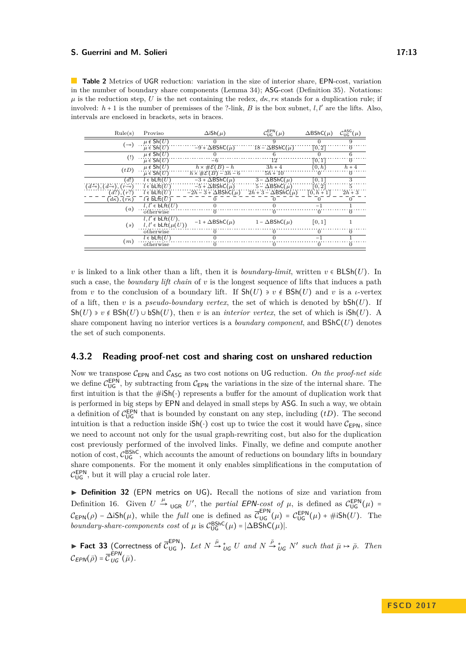<span id="page-12-0"></span>**Table 2** Metrics of UGR reduction: variation in the size of interior share, EPN-cost, variation in the number of boundary share components (Lemma [34\)](#page-13-0); ASG-cost (Definition [35\)](#page-13-1). Notations:  $\mu$  is the reduction step, *U* is the net containing the redex,  $d\kappa$ ,  $r\kappa$  stands for a duplication rule; if involved:  $h + 1$  is the number of premisses of the ?-link,  $B$  is the box subnet,  $l, l'$  are the lifts. Also, intervals are enclosed in brackets, sets in braces.

| Rule(s)                                                            | Proviso                                  | $\Delta$ iSh $(\mu)$                                         | $\mathcal{C}_{\text{UG}}^{\text{EPN}}(\mu)$ | $\Delta$ BShC $(\mu)$ | $\mathcal{C}_\mathsf{UG}^\mathsf{ASG}(\mu)$ |
|--------------------------------------------------------------------|------------------------------------------|--------------------------------------------------------------|---------------------------------------------|-----------------------|---------------------------------------------|
| (⊸)                                                                | $\mu \notin \overline{\mathsf{Sh}(U)}$   |                                                              |                                             |                       |                                             |
|                                                                    | $\mu \in \mathsf{Sh}(U)$                 | $-9 + \Delta B$ ShC( $\mu$ )                                 | $18 - \Delta B$ ShC( $\mu$ )                | [0, 2]                | $^{(1)}$                                    |
| $\left( \frac{1}{2} \right)$                                       | $\mu \notin Sh(U)$                       |                                                              |                                             |                       |                                             |
|                                                                    | $\mu \in \mathsf{Sh}(U)$                 | $-6$                                                         | 12                                          | [0,1]                 | $\Omega$                                    |
| (tD)                                                               | $\mu \notin Sh(U)$                       | $h \times \# \mathcal{E}(B) - h$                             | $3h + 4$                                    | $\{0,h\}$             | $h+4$                                       |
|                                                                    | $\mu \in Sh(U)$                          | $h \times \#\mathcal{E}(B) - 3h - 6$                         | $5h + 10$                                   |                       | $\theta$                                    |
| (d!)                                                               | $l \in bLft(U)$                          | $-3 + \Delta B$ ShC $(\mu)$                                  | $3 - \Delta B$ ShC( $\mu$ )                 | [0,1]                 | 3                                           |
| $(d_{\neg}^{\perp})$ , $(d_{\neg}^{\perp})$ , $(r_{\neg}^{\perp})$ | $l \in \text{blft}(U)$                   | $-5 + \Delta B$ ShC( $\mu$ )                                 | $5 - \Delta B$ ShC $(\mu)$                  | [0, 2]                |                                             |
| (d?), (r?)                                                         | $l \in bLft(U)$                          | $-2h-3+\Delta BShC(\mu)$ $2h+3-\Delta BShC(\mu)$ [0, $h+1$ ] |                                             |                       | $2h + 3$                                    |
| $(d\kappa)$ , $(r\kappa)$                                          | $l \notin \overline{blft}(\overline{U})$ |                                                              |                                             |                       |                                             |
| (a)                                                                | $l, l' \in bLft(U)$                      |                                                              |                                             | -1                    |                                             |
|                                                                    | otherwise                                |                                                              | O                                           | $\left( \right)$      | $\theta$                                    |
| (s)                                                                | $l, l' \notin bLft(U),$                  | $-1 + \Delta B$ ShC $(\mu)$                                  | $1 - \Delta B \text{ShC}(\mu)$              | [0, 1]                |                                             |
|                                                                    | $l, l' \in bLft(\mu(U))$                 |                                                              |                                             |                       |                                             |
|                                                                    | otherwise                                |                                                              |                                             |                       |                                             |
| (m)                                                                | $l \in bLft(U)$                          |                                                              |                                             | -1                    |                                             |
|                                                                    | otherwise                                |                                                              |                                             |                       |                                             |

*v* is linked to a link other than a lift, then it is *boundary-limit*, written  $v \in \text{BLSh}(U)$ . In such a case, the *boundary lift chain* of *v* is the longest sequence of lifts that induces a path from *v* to the conclusion of a boundary lift. If  $\text{Sh}(U) \ni v \notin \text{BSh}(U)$  and *v* is a *ι*-vertex of a lift, then *v* is a *pseudo-boundary vertex*, the set of which is denoted by  $bSh(U)$ . If Sh(*U*)  $\rightarrow$  *v* ∉ BSh(*U*) ∪ bSh(*U*), then *v* is an *interior vertex*, the set of which is iSh(*U*). A share component having no interior vertices is a *boundary component*, and BShC(*U*) denotes the set of such components.

## **4.3.2 Reading proof-net cost and sharing cost on unshared reduction**

Now we transpose  $C_{\text{EPN}}$  and  $C_{\text{ASG}}$  as two cost notions on UG reduction. On the proof-net side we define  $\mathcal{C}_{\text{UG}}^{\text{EPN}}$ , by subtracting from  $\mathcal{C}_{\text{EPN}}$  the variations in the size of the internal share. The first intuition is that the #iSh(⋅) represents a buffer for the amount of duplication work that is performed in big steps by EPN and delayed in small steps by ASG. In such a way, we obtain a definition of  $\mathcal{C}_{\text{UG}}^{\text{EPN}}$  that is bounded by constant on any step, including  $(tD)$ . The second intuition is that a reduction inside  $\mathsf{ish}(\cdot)$  cost up to twice the cost it would have  $\mathcal{C}_{\mathsf{FPN}}$ , since we need to account not only for the usual graph-rewriting cost, but also for the duplication cost previously performed of the involved links. Finally, we define and compute another notion of cost,  $C_{\text{UG}}^{\text{BShC}}$ , which accounts the amount of reductions on boundary lifts in boundary share components. For the moment it only enables simplifications in the computation of  $\mathcal{C}_{\mathsf{UG}}^{\mathsf{EPN}}$ , but it will play a crucial role later.

▶ Definition 32 (EPN metrics on UG). Recall the notions of size and variation from Definition [16.](#page-8-2) Given  $U \stackrel{\mu}{\rightarrow} \bigcup_{\mathsf{UGR}} U'$ , the *partial* EPN-cost of  $\mu$ , is defined as  $\mathcal{C}_{\mathsf{UG}}^{\mathsf{EPN}}(\mu) =$  $\mathcal{C}_{\text{EPN}}(\rho) - \Delta i \text{Sh}(\mu)$ , while the *full* one is defined as  $\overline{\mathcal{C}}_{\text{UG}}^{\text{EPN}}(\mu) = \mathcal{C}_{\text{UG}}^{\text{EPN}}(\mu) + \#i \text{Sh}(U)$ . The *boundary-share-components cost* of  $\mu$  is  $C_{\text{UG}}^{\text{BShC}}(\mu) = |\Delta \text{BShC}(\mu)|$ .

► Fact 33 (Correctness of  $\overline{C}_{\text{UG}}^{\text{EPN}}$ ). Let  $N \stackrel{\bar{\mu}}{\rightarrow} {}_{UG}^* U$  and  $N \stackrel{\bar{\rho}}{\rightarrow} {}_{UG}^* N'$  such that  $\bar{\mu} \mapsto \bar{\rho}$ . Then  $C_{EPN}(\bar{\rho}) = \overline{C}_{UG}^{EPN}(\bar{\mu}).$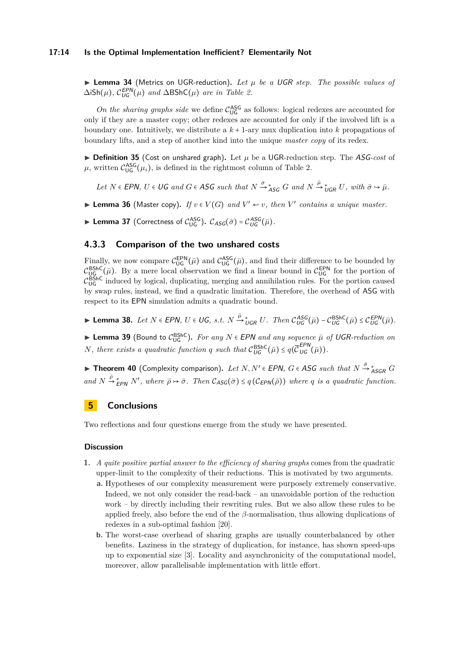#### **17:14 Is the Optimal Implementation Inefficient? Elementarily Not**

<span id="page-13-0"></span> $\triangleright$  **Lemma 34** (Metrics on UGR-reduction). Let  $\mu$  be a UGR step. The possible values of  $\Delta$ **iSh**( $\mu$ )*,*  $\mathcal{C}_{\text{UG}}^{\text{EPN}}(\mu)$  *and*  $\Delta$ BShC( $\mu$ ) *are in Table [2.](#page-12-0)* 

On the sharing graphs side we define  $C_{\text{UG}}^{\text{ASG}}$  as follows: logical redexes are accounted for only if they are a master copy; other redexes are accounted for only if the involved lift is a boundary one. Intuitively, we distribute a *k* + 1-ary mux duplication into *k* propagations of boundary lifts, and a step of another kind into the unique *master copy* of its redex.

<span id="page-13-1"></span> $\triangleright$  **Definition 35** (Cost on unshared graph). Let  $\mu$  be a UGR-reduction step. The ASG-cost of  $\mu$ , written  $C_{\text{UG}}^{\text{ASG}}(\mu_i)$ , is defined in the rightmost column of Table [2.](#page-12-0)

Let  $N \in \text{EPN}$ ,  $U \in \text{UG}$  and  $G \in \text{ASG}$  such that  $N \stackrel{\bar{\sigma}}{\rightarrow}^*_{\text{ASG}} G$  and  $N \stackrel{\bar{\mu}}{\rightarrow}^*_{\text{UGR}} U$ , with  $\bar{\sigma} \hookrightarrow \bar{\mu}$ .

▶ Lemma 36 (Master copy). *If*  $v \in V(G)$  *and*  $V' \leftrightarrow v$ , *then*  $V'$  *contains a unique master.* 

**Lemma 37** (Correctness of  $C_{\text{UG}}^{\text{ASG}}$ ).  $C_{\text{ASG}}(\bar{\sigma}) = C_{\text{UG}}^{\text{ASG}}(\bar{\mu})$ .

# **4.3.3 Comparison of the two unshared costs**

Finally, we now compare  $C_{\text{UG}}^{\text{EPN}}(\bar{\mu})$  and  $C_{\text{UG}}^{\text{ASG}}(\bar{\mu})$ , and find their difference to be bounded by  $\mathcal{C}_{\mathsf{UG}}^{\mathsf{BShC}}(\bar{\mu})$ . By a mere local observation we find a linear bound in  $\mathcal{C}_{\mathsf{UG}}^{\mathsf{EPN}}$  for the portion of  $\mathcal{C}_{\mathsf{UG}}^{\mathsf{BShC}}$  induced by logical, duplicating, merging and annihilation rules. For the portion caused by swap rules, instead, we find a quadratic limitation. Therefore, the overhead of ASG with respect to its EPN simulation admits a quadratic bound.

<span id="page-13-2"></span>► Lemma 38. Let  $N \in EPN$ ,  $U \in UG$ , s.t.  $N \stackrel{\bar{\mu}}{\rightarrow}{}_{\mathit{UGR}}^{*} U$ . Then  $\mathcal{C}_{\mathit{UG}}^{ASG}(\bar{\mu}) - \mathcal{C}_{\mathit{UG}}^{BShC}(\bar{\mu}) \leq \mathcal{C}_{\mathit{UG}}^{EPN}(\bar{\mu})$ .

**► Lemma 39** (Bound to  $\mathcal{C}_{\text{UG}}^{\text{BShC}}$ ). For any *N* ∈ EPN and any sequence  $\bar{\mu}$  of UGR-reduction on *N*, there exists a quadratic function *q* such that  $C_{UG}^{\text{BShC}}(\bar{\mu}) \leq q(\bar{C}_{UG}^{\text{EPN}}(\bar{\mu}))$ .

**► Theorem 40** (Complexity comparison). Let  $N, N' \in EPN$ ,  $G \in ASG$  such that  $N \stackrel{\bar{\sigma}}{\rightarrow} {}^*_{ASGR}G$  $\overline{P}$   $\rightarrow$   $\overline{P}$   $\rightarrow$   $\overline{P}$   $\rightarrow$  *N'*, where  $\overline{p}$   $\rightarrow$   $\overline{\sigma}$ . Then  $\mathcal{C}_{\text{ASG}}(\overline{\sigma}) \leq q$  ( $\mathcal{C}_{\text{EPN}}(\overline{p})$ ) where *q is a quadratic function.* 

# **5 Conclusions**

Two reflections and four questions emerge from the study we have presented.

#### **Discussion**

- **1.** *A quite positive partial answer to the efficiency of sharing graphs* comes from the quadratic upper-limit to the complexity of their reductions. This is motivated by two arguments.
	- **a.** Hypotheses of our complexity measurement were purposely extremely conservative. Indeed, we not only consider the read-back – an unavoidable portion of the reduction work – by directly including their rewriting rules. But we also allow these rules to be applied freely, also before the end of the *β*-normalisation, thus allowing duplications of redexes in a sub-optimal fashion [\[20\]](#page-15-9).
	- **b.** The worst-case overhead of sharing graphs are usually counterbalanced by other benefits. Laziness in the strategy of duplication, for instance, has shown speed-ups up to exponential size [\[3\]](#page-14-2). Locality and asynchronicity of the computational model, moreover, allow parallelisable implementation with little effort.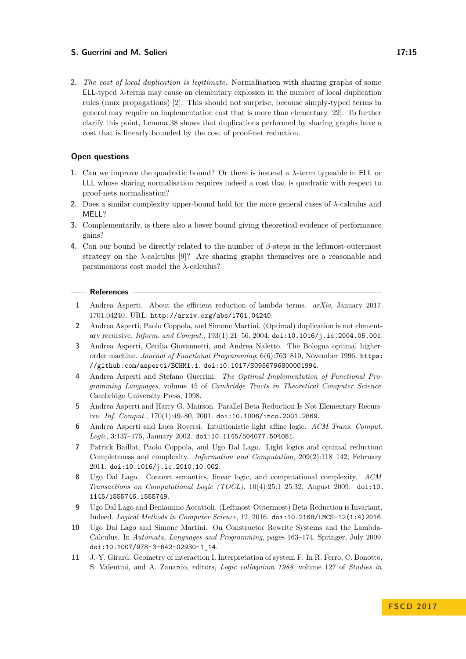**2.** *The cost of local duplication is legitimate.* Normalisation with sharing graphs of some ELL-typed *λ*-terms may cause an elementary explosion in the number of local duplication rules (mux propagations) [\[2\]](#page-14-6). This should not surprise, because simply-typed terms in general may require an implementation cost that is more than elementary [\[22\]](#page-15-13). To further clarify this point, Lemma [38](#page-13-2) shows that duplications performed by sharing graphs have a cost that is linearly bounded by the cost of proof-net reduction.

## **Open questions**

- **1.** Can we improve the quadratic bound? Or there is instead a *λ*-term typeable in ELL or LLL whose sharing normalisation requires indeed a cost that is quadratic with respect to proof-nets normalisation?
- **2.** Does a similar complexity upper-bound hold for the more general cases of *λ*-calculus and MELL?
- **3.** Complementarily, is there also a lower bound giving theoretical evidence of performance gains?
- **4.** Can our bound be directly related to the number of *β*-steps in the leftmost-outermost strategy on the  $\lambda$ -calculus [\[9\]](#page-14-4)? Are sharing graphs themselves are a reasonable and parsimonious cost model the *λ*-calculus?

## **References**

- <span id="page-14-3"></span>**1** Andrea Asperti. About the efficient reduction of lambda terms. *arXiv*, January 2017. 1701.04240. URL: <http://arxiv.org/abs/1701.04240>.
- <span id="page-14-6"></span>**2** Andrea Asperti, Paolo Coppola, and Simone Martini. (Optimal) duplication is not elementary recursive. *Inform. and Comput.*, 193(1):21–56, 2004. [doi:10.1016/j.ic.2004.05.001](http://dx.doi.org/10.1016/j.ic.2004.05.001).
- <span id="page-14-2"></span>**3** Andrea Asperti, Cecilia Giovannetti, and Andrea Naletto. The Bologna optimal higherorder machine. *Journal of Functional Programming*, 6(6):763–810, November 1996. [https:](https://github.com/asperti/BOHM1.1) [//github.com/asperti/BOHM1.1](https://github.com/asperti/BOHM1.1). [doi:10.1017/S0956796800001994](http://dx.doi.org/10.1017/S0956796800001994).
- <span id="page-14-0"></span>**4** Andrea Asperti and Stefano Guerrini. *The Optimal Implementation of Functional Programming Languages*, volume 45 of *Cambridge Tracts in Theoretical Computer Science*. Cambridge University Press, 1998.
- <span id="page-14-5"></span>**5** Andrea Asperti and Harry G. Mairson. Parallel Beta Reduction Is Not Elementary Recursive. *Inf. Comput.*, 170(1):49–80, 2001. [doi:10.1006/inco.2001.2869](http://dx.doi.org/10.1006/inco.2001.2869).
- <span id="page-14-1"></span>**6** Andrea Asperti and Luca Roversi. Intuitionistic light affine logic. *ACM Trans. Comput. Logic*, 3:137–175, January 2002. [doi:10.1145/504077.504081](http://dx.doi.org/10.1145/504077.504081).
- <span id="page-14-8"></span>**7** Patrick Baillot, Paolo Coppola, and Ugo Dal Lago. Light logics and optimal reduction: Completeness and complexity. *Information and Computation*, 209(2):118–142, February 2011. [doi:10.1016/j.ic.2010.10.002](http://dx.doi.org/10.1016/j.ic.2010.10.002).
- <span id="page-14-9"></span>**8** Ugo Dal Lago. Context semantics, linear logic, and computational complexity. *ACM Transactions on Computational Logic (TOCL)*, 10(4):25:1–25:32, August 2009. [doi:10.](http://dx.doi.org/10.1145/1555746.1555749) [1145/1555746.1555749](http://dx.doi.org/10.1145/1555746.1555749).
- <span id="page-14-4"></span>**9** Ugo Dal Lago and Beniamino Accattoli. (Leftmost-Outermost) Beta Reduction is Invariant, Indeed. *Logical Methods in Computer Science*, 12, 2016. [doi:10.2168/LMCS-12\(1:4\)2016](http://dx.doi.org/10.2168/LMCS-12(1:4)2016).
- <span id="page-14-7"></span>**10** Ugo Dal Lago and Simone Martini. On Constructor Rewrite Systems and the Lambda-Calculus. In *Automata, Languages and Programming*, pages 163–174. Springer, July 2009. [doi:10.1007/978-3-642-02930-1\\_14](http://dx.doi.org/10.1007/978-3-642-02930-1_14).
- <span id="page-14-10"></span>**11** J.-Y. Girard. Geometry of interaction I. Interpretation of system F. In R. Ferro, C. Bonotto, S. Valentini, and A. Zanardo, editors, *Logic colloquium 1988*, volume 127 of *Studies in*